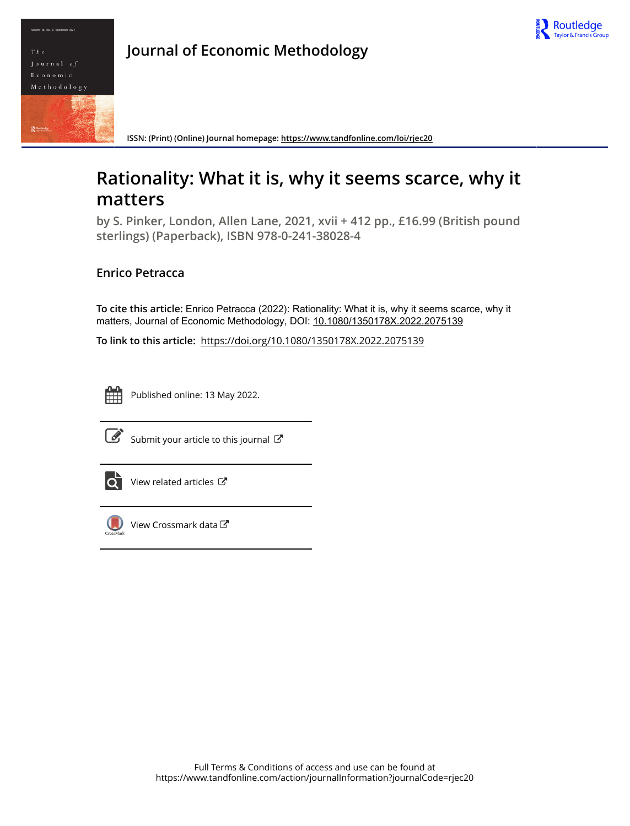



**ISSN: (Print) (Online) Journal homepage:<https://www.tandfonline.com/loi/rjec20>**

## **Rationality: What it is, why it seems scarce, why it matters**

**by S. Pinker, London, Allen Lane, 2021, xvii + 412 pp., £16.99 (British pound sterlings) (Paperback), ISBN 978-0-241-38028-4**

## **Enrico Petracca**

**To cite this article:** Enrico Petracca (2022): Rationality: What it is, why it seems scarce, why it matters, Journal of Economic Methodology, DOI: [10.1080/1350178X.2022.2075139](https://www.tandfonline.com/action/showCitFormats?doi=10.1080/1350178X.2022.2075139)

**To link to this article:** <https://doi.org/10.1080/1350178X.2022.2075139>



Published online: 13 May 2022.



 $\overline{\mathscr{L}}$  [Submit your article to this journal](https://www.tandfonline.com/action/authorSubmission?journalCode=rjec20&show=instructions)  $\mathbb{F}$ 



 $\overrightarrow{Q}$  [View related articles](https://www.tandfonline.com/doi/mlt/10.1080/1350178X.2022.2075139)  $\overrightarrow{C}$ 



[View Crossmark data](http://crossmark.crossref.org/dialog/?doi=10.1080/1350178X.2022.2075139&domain=pdf&date_stamp=2022-05-13)<sup>で</sup>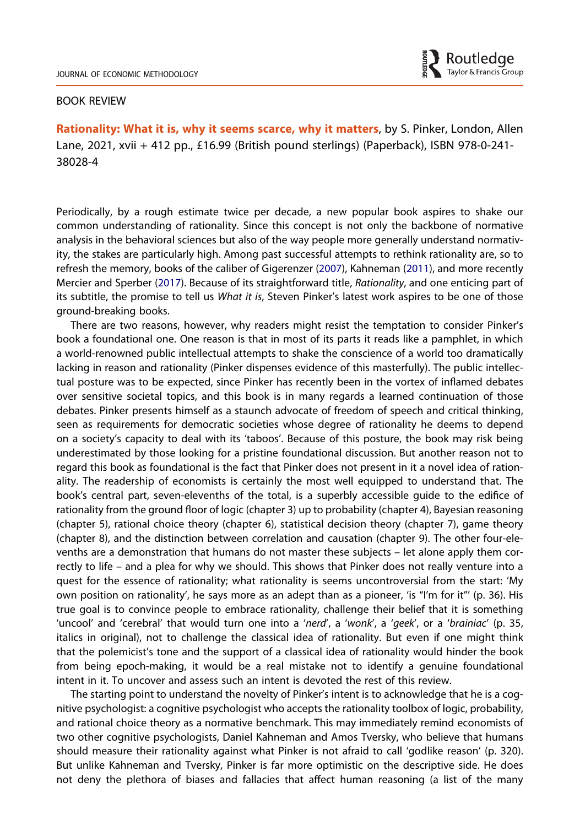

## BOOK REVIEW

Rationality: What it is, why it seems scarce, why it matters, by S. Pinker, London, Allen Lane, 2021, xvii + 412 pp., £16.99 (British pound sterlings) (Paperback), ISBN 978-0-241- 38028-4

<span id="page-1-0"></span>Periodically, by a rough estimate twice per decade, a new popular book aspires to shake our common understanding of rationality. Since this concept is not only the backbone of normative analysis in the behavioral sciences but also of the way people more generally understand normativity, the stakes are particularly high. Among past successful attempts to rethink rationality are, so to refresh the memory, books of the caliber of Gigerenzer [\(2007\)](#page-4-0), Kahneman ([2011](#page-5-0)), and more recently Mercier and Sperber [\(2017\)](#page-5-1). Because of its straightforward title, Rationality, and one enticing part of its subtitle, the promise to tell us What it is, Steven Pinker's latest work aspires to be one of those ground-breaking books.

<span id="page-1-1"></span>There are two reasons, however, why readers might resist the temptation to consider Pinker's book a foundational one. One reason is that in most of its parts it reads like a pamphlet, in which a world-renowned public intellectual attempts to shake the conscience of a world too dramatically lacking in reason and rationality (Pinker dispenses evidence of this masterfully). The public intellectual posture was to be expected, since Pinker has recently been in the vortex of inflamed debates over sensitive societal topics, and this book is in many regards a learned continuation of those debates. Pinker presents himself as a staunch advocate of freedom of speech and critical thinking, seen as requirements for democratic societies whose degree of rationality he deems to depend on a society's capacity to deal with its 'taboos'. Because of this posture, the book may risk being underestimated by those looking for a pristine foundational discussion. But another reason not to regard this book as foundational is the fact that Pinker does not present in it a novel idea of rationality. The readership of economists is certainly the most well equipped to understand that. The book's central part, seven-elevenths of the total, is a superbly accessible guide to the edifice of rationality from the ground floor of logic (chapter 3) up to probability (chapter 4), Bayesian reasoning (chapter 5), rational choice theory (chapter 6), statistical decision theory (chapter 7), game theory (chapter 8), and the distinction between correlation and causation (chapter 9). The other four-elevenths are a demonstration that humans do not master these subjects – let alone apply them correctly to life – and a plea for why we should. This shows that Pinker does not really venture into a quest for the essence of rationality; what rationality is seems uncontroversial from the start: 'My own position on rationality', he says more as an adept than as a pioneer, 'is "I'm for it"' (p. 36). His true goal is to convince people to embrace rationality, challenge their belief that it is something 'uncool' and 'cerebral' that would turn one into a 'nerd', a 'wonk', a 'geek', or a 'brainiac' (p. 35, italics in original), not to challenge the classical idea of rationality. But even if one might think that the polemicist's tone and the support of a classical idea of rationality would hinder the book from being epoch-making, it would be a real mistake not to identify a genuine foundational intent in it. To uncover and assess such an intent is devoted the rest of this review.

The starting point to understand the novelty of Pinker's intent is to acknowledge that he is a cognitive psychologist: a cognitive psychologist who accepts the rationality toolbox of logic, probability, and rational choice theory as a normative benchmark. This may immediately remind economists of two other cognitive psychologists, Daniel Kahneman and Amos Tversky, who believe that humans should measure their rationality against what Pinker is not afraid to call 'godlike reason' (p. 320). But unlike Kahneman and Tversky, Pinker is far more optimistic on the descriptive side. He does not deny the plethora of biases and fallacies that affect human reasoning (a list of the many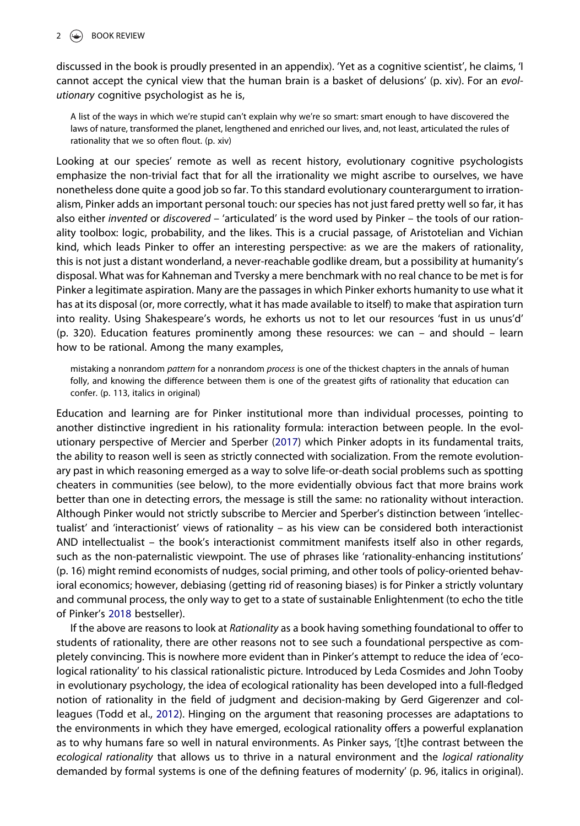discussed in the book is proudly presented in an appendix). 'Yet as a cognitive scientist', he claims, 'I cannot accept the cynical view that the human brain is a basket of delusions' (p. xiv). For an evolutionary cognitive psychologist as he is,

A list of the ways in which we're stupid can't explain why we're so smart: smart enough to have discovered the laws of nature, transformed the planet, lengthened and enriched our lives, and, not least, articulated the rules of rationality that we so often flout. (p. xiv)

Looking at our species' remote as well as recent history, evolutionary cognitive psychologists emphasize the non-trivial fact that for all the irrationality we might ascribe to ourselves, we have nonetheless done quite a good job so far. To this standard evolutionary counterargument to irrationalism, Pinker adds an important personal touch: our species has not just fared pretty well so far, it has also either invented or discovered – 'articulated' is the word used by Pinker – the tools of our rationality toolbox: logic, probability, and the likes. This is a crucial passage, of Aristotelian and Vichian kind, which leads Pinker to offer an interesting perspective: as we are the makers of rationality, this is not just a distant wonderland, a never-reachable godlike dream, but a possibility at humanity's disposal. What was for Kahneman and Tversky a mere benchmark with no real chance to be met is for Pinker a legitimate aspiration. Many are the passages in which Pinker exhorts humanity to use what it has at its disposal (or, more correctly, what it has made available to itself) to make that aspiration turn into reality. Using Shakespeare's words, he exhorts us not to let our resources 'fust in us unus'd' (p. 320). Education features prominently among these resources: we can – and should – learn how to be rational. Among the many examples,

mistaking a nonrandom pattern for a nonrandom process is one of the thickest chapters in the annals of human folly, and knowing the difference between them is one of the greatest gifts of rationality that education can confer. (p. 113, italics in original)

Education and learning are for Pinker institutional more than individual processes, pointing to another distinctive ingredient in his rationality formula: interaction between people. In the evolutionary perspective of Mercier and Sperber [\(2017\)](#page-5-1) which Pinker adopts in its fundamental traits, the ability to reason well is seen as strictly connected with socialization. From the remote evolutionary past in which reasoning emerged as a way to solve life-or-death social problems such as spotting cheaters in communities (see below), to the more evidentially obvious fact that more brains work better than one in detecting errors, the message is still the same: no rationality without interaction. Although Pinker would not strictly subscribe to Mercier and Sperber's distinction between 'intellectualist' and 'interactionist' views of rationality – as his view can be considered both interactionist AND intellectualist – the book's interactionist commitment manifests itself also in other regards, such as the non-paternalistic viewpoint. The use of phrases like 'rationality-enhancing institutions' (p. 16) might remind economists of nudges, social priming, and other tools of policy-oriented behavioral economics; however, debiasing (getting rid of reasoning biases) is for Pinker a strictly voluntary and communal process, the only way to get to a state of sustainable Enlightenment (to echo the title of Pinker's [2018](#page-5-2) bestseller).

<span id="page-2-1"></span><span id="page-2-0"></span>If the above are reasons to look at Rationality as a book having something foundational to offer to students of rationality, there are other reasons not to see such a foundational perspective as completely convincing. This is nowhere more evident than in Pinker's attempt to reduce the idea of 'ecological rationality' to his classical rationalistic picture. Introduced by Leda Cosmides and John Tooby in evolutionary psychology, the idea of ecological rationality has been developed into a full-fledged notion of rationality in the field of judgment and decision-making by Gerd Gigerenzer and colleagues (Todd et al., [2012](#page-5-3)). Hinging on the argument that reasoning processes are adaptations to the environments in which they have emerged, ecological rationality offers a powerful explanation as to why humans fare so well in natural environments. As Pinker says, '[t]he contrast between the ecological rationality that allows us to thrive in a natural environment and the logical rationality demanded by formal systems is one of the defining features of modernity' (p. 96, italics in original).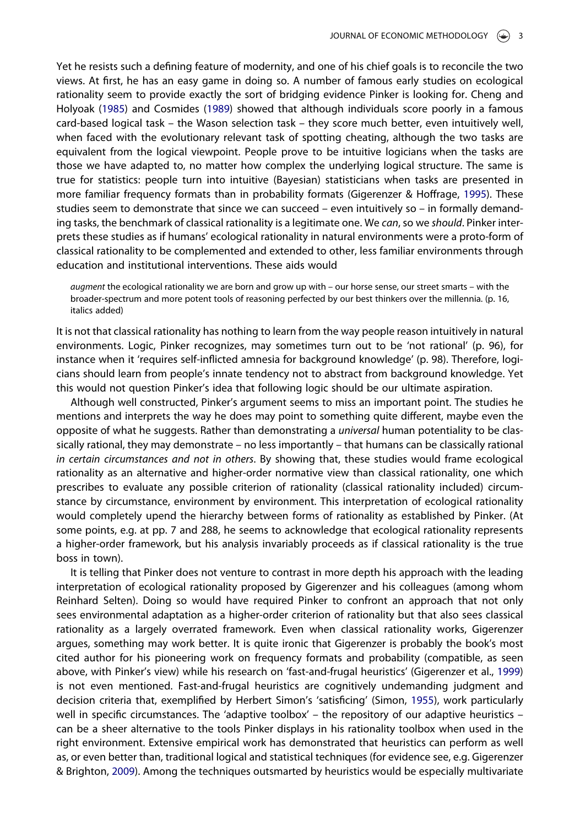<span id="page-3-0"></span>Yet he resists such a defining feature of modernity, and one of his chief goals is to reconcile the two views. At first, he has an easy game in doing so. A number of famous early studies on ecological rationality seem to provide exactly the sort of bridging evidence Pinker is looking for. Cheng and Holyoak ([1985](#page-4-1)) and Cosmides ([1989](#page-4-2)) showed that although individuals score poorly in a famous card-based logical task – the Wason selection task – they score much better, even intuitively well, when faced with the evolutionary relevant task of spotting cheating, although the two tasks are equivalent from the logical viewpoint. People prove to be intuitive logicians when the tasks are those we have adapted to, no matter how complex the underlying logical structure. The same is true for statistics: people turn into intuitive (Bayesian) statisticians when tasks are presented in more familiar frequency formats than in probability formats (Gigerenzer & Hoffrage, [1995\)](#page-4-3). These studies seem to demonstrate that since we can succeed – even intuitively so – in formally demanding tasks, the benchmark of classical rationality is a legitimate one. We can, so we should. Pinker interprets these studies as if humans' ecological rationality in natural environments were a proto-form of classical rationality to be complemented and extended to other, less familiar environments through education and institutional interventions. These aids would

<span id="page-3-2"></span>augment the ecological rationality we are born and grow up with – our horse sense, our street smarts – with the broader-spectrum and more potent tools of reasoning perfected by our best thinkers over the millennia. (p. 16, italics added)

It is not that classical rationality has nothing to learn from the way people reason intuitively in natural environments. Logic, Pinker recognizes, may sometimes turn out to be 'not rational' (p. 96), for instance when it 'requires self-inflicted amnesia for background knowledge' (p. 98). Therefore, logicians should learn from people's innate tendency not to abstract from background knowledge. Yet this would not question Pinker's idea that following logic should be our ultimate aspiration.

Although well constructed, Pinker's argument seems to miss an important point. The studies he mentions and interprets the way he does may point to something quite different, maybe even the opposite of what he suggests. Rather than demonstrating a universal human potentiality to be classically rational, they may demonstrate – no less importantly – that humans can be classically rational in certain circumstances and not in others. By showing that, these studies would frame ecological rationality as an alternative and higher-order normative view than classical rationality, one which prescribes to evaluate any possible criterion of rationality (classical rationality included) circumstance by circumstance, environment by environment. This interpretation of ecological rationality would completely upend the hierarchy between forms of rationality as established by Pinker. (At some points, e.g. at pp. 7 and 288, he seems to acknowledge that ecological rationality represents a higher-order framework, but his analysis invariably proceeds as if classical rationality is the true boss in town).

<span id="page-3-4"></span><span id="page-3-3"></span><span id="page-3-1"></span>It is telling that Pinker does not venture to contrast in more depth his approach with the leading interpretation of ecological rationality proposed by Gigerenzer and his colleagues (among whom Reinhard Selten). Doing so would have required Pinker to confront an approach that not only sees environmental adaptation as a higher-order criterion of rationality but that also sees classical rationality as a largely overrated framework. Even when classical rationality works, Gigerenzer argues, something may work better. It is quite ironic that Gigerenzer is probably the book's most cited author for his pioneering work on frequency formats and probability (compatible, as seen above, with Pinker's view) while his research on 'fast-and-frugal heuristics' (Gigerenzer et al., [1999](#page-5-4)) is not even mentioned. Fast-and-frugal heuristics are cognitively undemanding judgment and decision criteria that, exemplified by Herbert Simon's 'satisficing' (Simon, [1955](#page-5-5)), work particularly well in specific circumstances. The 'adaptive toolbox' – the repository of our adaptive heuristics – can be a sheer alternative to the tools Pinker displays in his rationality toolbox when used in the right environment. Extensive empirical work has demonstrated that heuristics can perform as well as, or even better than, traditional logical and statistical techniques (for evidence see, e.g. Gigerenzer & Brighton, [2009\)](#page-4-4). Among the techniques outsmarted by heuristics would be especially multivariate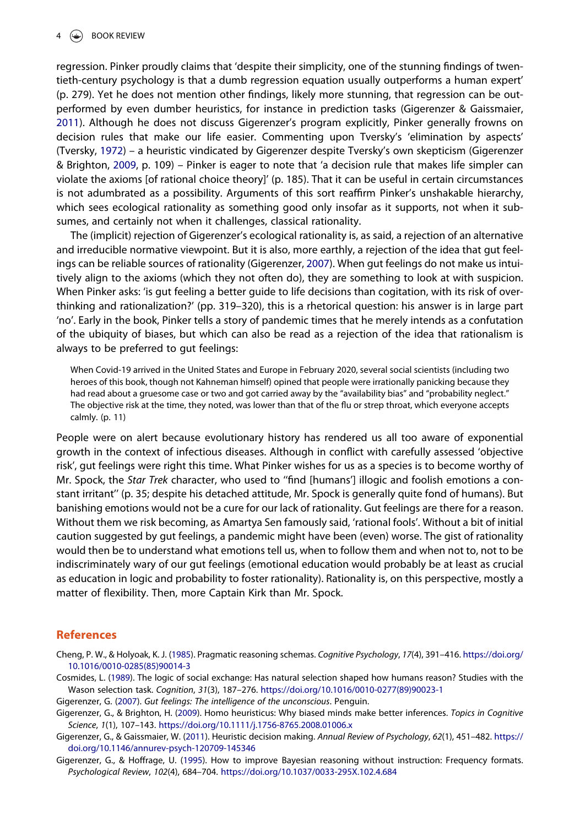<span id="page-4-7"></span><span id="page-4-6"></span>regression. Pinker proudly claims that 'despite their simplicity, one of the stunning findings of twentieth-century psychology is that a dumb regression equation usually outperforms a human expert' (p. 279). Yet he does not mention other findings, likely more stunning, that regression can be outperformed by even dumber heuristics, for instance in prediction tasks (Gigerenzer & Gaissmaier, [2011\)](#page-4-5). Although he does not discuss Gigerenzer's program explicitly, Pinker generally frowns on decision rules that make our life easier. Commenting upon Tversky's 'elimination by aspects' (Tversky, [1972\)](#page-5-6) – a heuristic vindicated by Gigerenzer despite Tversky's own skepticism (Gigerenzer & Brighton, [2009,](#page-4-4) p. 109) – Pinker is eager to note that 'a decision rule that makes life simpler can violate the axioms [of rational choice theory]' (p. 185). That it can be useful in certain circumstances is not adumbrated as a possibility. Arguments of this sort reaffirm Pinker's unshakable hierarchy, which sees ecological rationality as something good only insofar as it supports, not when it subsumes, and certainly not when it challenges, classical rationality.

The (implicit) rejection of Gigerenzer's ecological rationality is, as said, a rejection of an alternative and irreducible normative viewpoint. But it is also, more earthly, a rejection of the idea that gut feelings can be reliable sources of rationality (Gigerenzer, [2007](#page-4-0)). When gut feelings do not make us intuitively align to the axioms (which they not often do), they are something to look at with suspicion. When Pinker asks: 'is gut feeling a better guide to life decisions than cogitation, with its risk of overthinking and rationalization?' (pp. 319–320), this is a rhetorical question: his answer is in large part 'no'. Early in the book, Pinker tells a story of pandemic times that he merely intends as a confutation of the ubiquity of biases, but which can also be read as a rejection of the idea that rationalism is always to be preferred to gut feelings:

When Covid-19 arrived in the United States and Europe in February 2020, several social scientists (including two heroes of this book, though not Kahneman himself) opined that people were irrationally panicking because they had read about a gruesome case or two and got carried away by the "availability bias" and "probability neglect." The objective risk at the time, they noted, was lower than that of the flu or strep throat, which everyone accepts calmly. (p. 11)

People were on alert because evolutionary history has rendered us all too aware of exponential growth in the context of infectious diseases. Although in conflict with carefully assessed 'objective risk', gut feelings were right this time. What Pinker wishes for us as a species is to become worthy of Mr. Spock, the Star Trek character, who used to "find [humans'] illogic and foolish emotions a constant irritant'' (p. 35; despite his detached attitude, Mr. Spock is generally quite fond of humans). But banishing emotions would not be a cure for our lack of rationality. Gut feelings are there for a reason. Without them we risk becoming, as Amartya Sen famously said, 'rational fools'. Without a bit of initial caution suggested by gut feelings, a pandemic might have been (even) worse. The gist of rationality would then be to understand what emotions tell us, when to follow them and when not to, not to be indiscriminately wary of our gut feelings (emotional education would probably be at least as crucial as education in logic and probability to foster rationality). Rationality is, on this perspective, mostly a matter of flexibility. Then, more Captain Kirk than Mr. Spock.

## References

<span id="page-4-1"></span>Cheng, P. W., & Holyoak, K. J. ([1985](#page-3-0)). Pragmatic reasoning schemas. Cognitive Psychology, 17(4), 391–416. [https://doi.org/](https://doi.org/10.1016/0010-0285(85)90014-3) [10.1016/0010-0285\(85\)90014-3](https://doi.org/10.1016/0010-0285(85)90014-3)

<span id="page-4-2"></span>Cosmides, L. [\(1989\)](#page-3-0). The logic of social exchange: Has natural selection shaped how humans reason? Studies with the Wason selection task. Cognition, 31(3), 187–276. [https://doi.org/10.1016/0010-0277\(89\)90023-1](https://doi.org/10.1016/0010-0277(89)90023-1)

<span id="page-4-4"></span><span id="page-4-0"></span>Gigerenzer, G. [\(2007\)](#page-1-0). Gut feelings: The intelligence of the unconscious. Penguin.

Gigerenzer, G., & Brighton, H. [\(2009\)](#page-3-1). Homo heuristicus: Why biased minds make better inferences. Topics in Cognitive Science, 1(1), 107–143. <https://doi.org/10.1111/j.1756-8765.2008.01006.x>

<span id="page-4-5"></span>Gigerenzer, G., & Gaissmaier, W. [\(2011\)](#page-4-6). Heuristic decision making. Annual Review of Psychology, 62(1), 451–482. [https://](https://doi.org/10.1146/annurev-psych-120709-145346) [doi.org/10.1146/annurev-psych-120709-145346](https://doi.org/10.1146/annurev-psych-120709-145346)

<span id="page-4-3"></span>Gigerenzer, G., & Hoffrage, U. ([1995](#page-3-2)). How to improve Bayesian reasoning without instruction: Frequency formats. Psychological Review, 102(4), 684–704. <https://doi.org/10.1037/0033-295X.102.4.684>